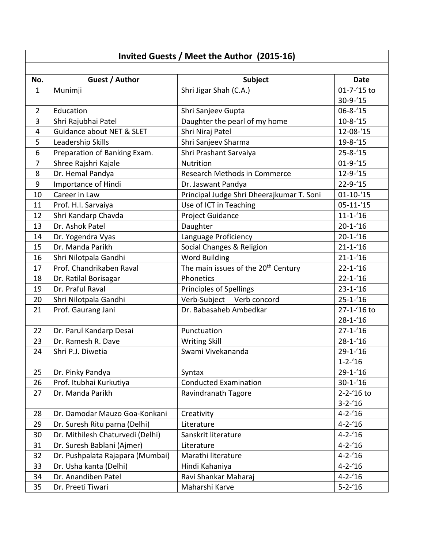## **Invited Guests / Meet the Author (2015-16)**

| No.            | Guest / Author                   | <b>Subject</b>                                  | <b>Date</b>     |
|----------------|----------------------------------|-------------------------------------------------|-----------------|
| $\mathbf{1}$   | Munimji                          | Shri Jigar Shah (C.A.)                          | 01-7-'15 to     |
|                |                                  |                                                 | $30-9-15$       |
| $\overline{2}$ | Education                        | Shri Sanjeev Gupta                              | $06 - 8 - 15$   |
| 3              | Shri Rajubhai Patel              | Daughter the pearl of my home                   | $10 - 8 - 15$   |
| $\overline{4}$ | Guidance about NET & SLET        | Shri Niraj Patel                                | 12-08-'15       |
| 5              | Leadership Skills                | Shri Sanjeev Sharma                             | $19 - 8 - 15$   |
| 6              | Preparation of Banking Exam.     | Shri Prashant Sarvaiya                          | $25 - 8 - 15$   |
| 7              | Shree Rajshri Kajale             | <b>Nutrition</b>                                | $01 - 9 - 15$   |
| 8              | Dr. Hemal Pandya                 | Research Methods in Commerce                    | $12 - 9 - 15$   |
| $9\,$          | Importance of Hindi              | Dr. Jaswant Pandya                              | $22 - 9 - 15$   |
| 10             | Career in Law                    | Principal Judge Shri Dheerajkumar T. Soni       | $01 - 10 - 15$  |
| 11             | Prof. H.I. Sarvaiya              | Use of ICT in Teaching                          | $05 - 11 - 15$  |
| 12             | Shri Kandarp Chavda              | Project Guidance                                | $11 - 1 - 16$   |
| 13             | Dr. Ashok Patel                  | Daughter                                        | $20 - 1 - 16$   |
| 14             | Dr. Yogendra Vyas                | Language Proficiency                            | $20 - 1 - 16$   |
| 15             | Dr. Manda Parikh                 | Social Changes & Religion                       | $21 - 1 - 16$   |
| 16             | Shri Nilotpala Gandhi            | <b>Word Building</b>                            | $21 - 1 - 16$   |
| 17             | Prof. Chandrikaben Raval         | The main issues of the 20 <sup>th</sup> Century | $22 - 1 - 16$   |
| 18             | Dr. Ratilal Borisagar            | Phonetics                                       | $22 - 1 - 16$   |
| 19             | Dr. Praful Raval                 | Principles of Spellings                         | $23 - 1 - 16$   |
| 20             | Shri Nilotpala Gandhi            | Verb-Subject Verb concord                       | $25 - 1 - 16$   |
| 21             | Prof. Gaurang Jani               | Dr. Babasaheb Ambedkar                          | 27-1-'16 to     |
|                |                                  |                                                 | $28 - 1 - 16$   |
| 22             | Dr. Parul Kandarp Desai          | Punctuation                                     | $27 - 1 - 16$   |
| 23             | Dr. Ramesh R. Dave               | <b>Writing Skill</b>                            | $28 - 1 - 16$   |
| 24             | Shri P.J. Diwetia                | Swami Vivekananda                               | $29 - 1 - 16$   |
|                |                                  |                                                 | $1 - 2 - 16$    |
| 25             | Dr. Pinky Pandya                 | Syntax                                          | $29 - 1 - 16$   |
| 26             | Prof. Itubhai Kurkutiya          | <b>Conducted Examination</b>                    | $30 - 1 - 16$   |
| 27             | Dr. Manda Parikh                 | Ravindranath Tagore                             | $2 - 2 - 16$ to |
|                |                                  |                                                 | $3 - 2 - 16$    |
| 28             | Dr. Damodar Mauzo Goa-Konkani    | Creativity                                      | $4 - 2 - 16$    |
| 29             | Dr. Suresh Ritu parna (Delhi)    | Literature                                      | $4 - 2 - 16$    |
| 30             | Dr. Mithilesh Chaturvedi (Delhi) | Sanskrit literature                             | $4 - 2 - 16$    |
| 31             | Dr. Suresh Bablani (Ajmer)       | Literature                                      | $4 - 2 - 16$    |
| 32             | Dr. Pushpalata Rajapara (Mumbai) | Marathi literature                              | $4 - 2 - 16$    |
| 33             | Dr. Usha kanta (Delhi)           | Hindi Kahaniya                                  | $4 - 2 - 16$    |
| 34             | Dr. Anandiben Patel              | Ravi Shankar Maharaj                            | $4 - 2 - 16$    |
| 35             | Dr. Preeti Tiwari                | Maharshi Karve                                  | $5 - 2 - 16$    |